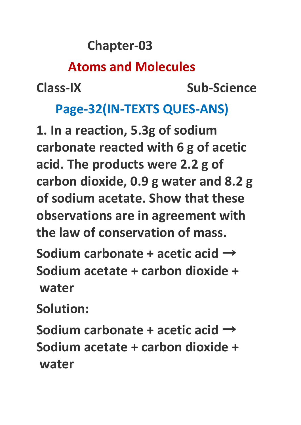#### **Chapter-03**

#### **Atoms and Molecules**

**Class-IX Sub-Science**

#### **Page-32(IN-TEXTS QUES-ANS)**

**1. In a reaction, 5.3g of sodium carbonate reacted with 6 g of acetic acid. The products were 2.2 g of carbon dioxide, 0.9 g water and 8.2 g of sodium acetate. Show that these observations are in agreement with the law of conservation of mass.**

**Sodium carbonate + acetic acid** → **Sodium acetate + carbon dioxide + water**

**Solution:**

**Sodium carbonate + acetic acid** → **Sodium acetate + carbon dioxide + water**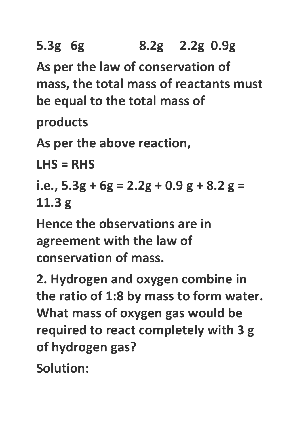**5.3g 6g 8.2g 2.2g 0.9g As per the law of conservation of**

**mass, the total mass of reactants must be equal to the total mass of**

**products**

**As per the above reaction,**

**LHS = RHS**

```
i.e., 5.3g + 6g = 2.2g + 0.9 g + 8.2 g =
11.3 g
```
**Hence the observations are in agreement with the law of conservation of mass.**

**2. Hydrogen and oxygen combine in the ratio of 1:8 by mass to form water. What mass of oxygen gas would be required to react completely with 3 g of hydrogen gas?**

**Solution:**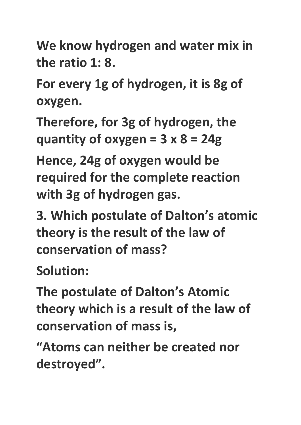**We know hydrogen and water mix in the ratio 1: 8.**

**For every 1g of hydrogen, it is 8g of oxygen.**

**Therefore, for 3g of hydrogen, the quantity of oxygen = 3 x 8 = 24g**

**Hence, 24g of oxygen would be required for the complete reaction with 3g of hydrogen gas.**

**3. Which postulate of Dalton's atomic theory is the result of the law of conservation of mass?**

**Solution:**

**The postulate of Dalton's Atomic theory which is a result of the law of conservation of mass is,**

**"Atoms can neither be created nor destroyed".**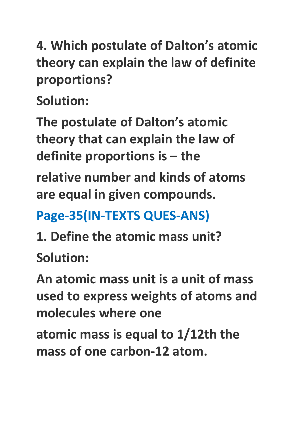**4. Which postulate of Dalton's atomic theory can explain the law of definite proportions?**

**Solution:**

**The postulate of Dalton's atomic theory that can explain the law of definite proportions is – the**

**relative number and kinds of atoms are equal in given compounds.**

### **Page-35(IN-TEXTS QUES-ANS)**

**1. Define the atomic mass unit? Solution:**

**An atomic mass unit is a unit of mass used to express weights of atoms and molecules where one**

**atomic mass is equal to 1/12th the mass of one carbon-12 atom.**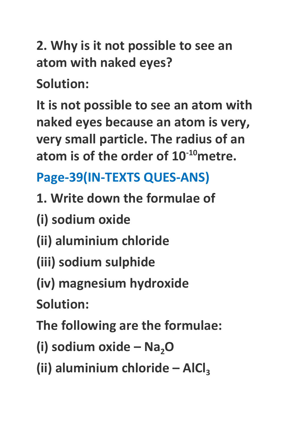**2. Why is it not possible to see an atom with naked eyes?**

**Solution:**

**It is not possible to see an atom with naked eyes because an atom is very, very small particle. The radius of an atom is of the order of 10 -10metre.**

## **Page-39(IN-TEXTS QUES-ANS)**

- **1. Write down the formulae of**
- **(i) sodium oxide**
- **(ii) aluminium chloride**
- **(iii) sodium sulphide**
- **(iv) magnesium hydroxide**

**Solution:**

**The following are the formulae:**

**(i) sodium oxide – Na2O**

**(ii) aluminium chloride – AlCl<sup>3</sup>**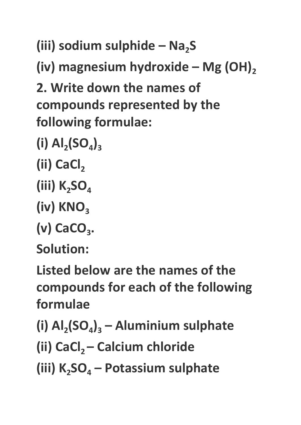**(iii) sodium sulphide – Na2S**

**(iv) magnesium hydroxide – Mg (OH)<sup>2</sup>**

**2. Write down the names of compounds represented by the following formulae:**

- $(I)$   $AI_2(SO_4)_3$
- **(ii) CaCl<sup>2</sup>**
- **(iii) K2SO<sup>4</sup>**
- **(iv) KNO<sup>3</sup>**
- (v) CaCO<sub>3</sub>.

**Solution:**

**Listed below are the names of the compounds for each of the following formulae**

**(i) Al<sup>2</sup> (SO<sup>4</sup> )<sup>3</sup> – Aluminium sulphate**

**(ii) CaCl<sup>2</sup> – Calcium chloride**

**(iii) K2SO<sup>4</sup> – Potassium sulphate**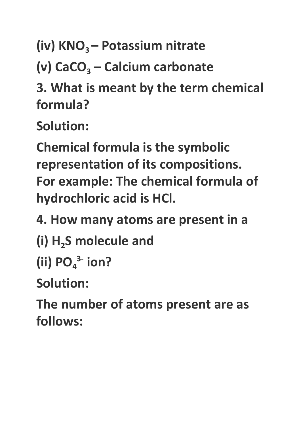**(iv) KNO<sup>3</sup> – Potassium nitrate**

**(v) CaCO<sup>3</sup> – Calcium carbonate**

**3. What is meant by the term chemical formula?**

**Solution:**

**Chemical formula is the symbolic representation of its compositions. For example: The chemical formula of hydrochloric acid is HCl.**

**4. How many atoms are present in a**

- **(i) H2S molecule and**
- $(iii) PO<sub>4</sub><sup>3-</sup> ion?$

**Solution:**

**The number of atoms present are as follows:**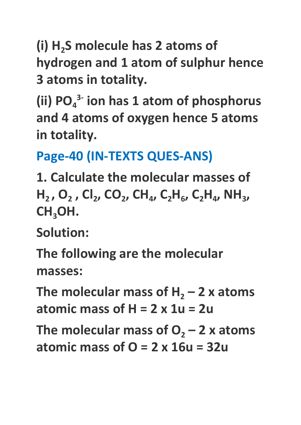**(i) H2S molecule has 2 atoms of hydrogen and 1 atom of sulphur hence 3 atoms in totality.**

**(ii) PO<sup>4</sup> 3- ion has 1 atom of phosphorus and 4 atoms of oxygen hence 5 atoms in totality.**

**Page-40 (IN-TEXTS QUES-ANS)**

**1. Calculate the molecular masses of**  $H_2$ , O<sub>2</sub>, Cl<sub>2</sub>, CO<sub>2</sub>, CH<sub>4</sub>, C<sub>2</sub>H<sub>6</sub>, C<sub>2</sub>H<sub>4</sub>, NH<sub>3</sub>, **CH3OH.**

**Solution:**

**The following are the molecular masses:**

**The molecular mass of**  $H_2 - 2x$  **atoms atomic mass of H = 2 x 1u = 2u**

**The molecular mass of**  $O$ **<sub>2</sub> – 2 x atoms atomic mass of O = 2 x 16u = 32u**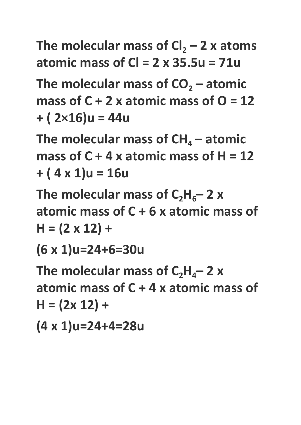**The molecular mass of**  $Cl_2 - 2x$  **atoms atomic mass of Cl = 2 x 35.5u = 71u**

**The molecular mass of CO<sup>2</sup> – atomic mass** of  $C + 2x$  atomic mass of  $O = 12$ **+ ( 2×16)u = 44u**

**The molecular mass of**  $CH<sub>4</sub>$  **– atomic mass of C + 4 x atomic mass of H = 12 + ( 4 x 1)u = 16u**

The molecular mass of  $C_2H_6 - 2x$ **atomic mass of C + 6 x atomic mass of H = (2 x 12) +**

**(6 x 1)u=24+6=30u**

 **The molecular mass of**  $C_2H_4$ **–2 <b>x atomic mass of C + 4 x atomic mass of H = (2x 12) +**

**(4 x 1)u=24+4=28u**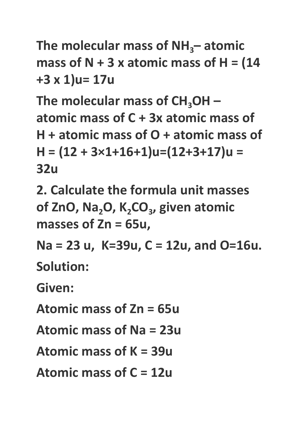```
The molecular mass of NH3– atomic
mass of N + 3 x atomic mass of H = (14+3 x 1)u= 17u
```
**The molecular mass of CH3OH – atomic mass of C + 3x atomic mass of H + atomic mass of O + atomic mass of H = (12 + 3×1+16+1)u=(12+3+17)u = 32u**

**2. Calculate the formula unit masses of ZnO, Na2O, K2CO<sup>3</sup> , given atomic masses of Zn = 65u,**

**Na = 23 u, K=39u, C = 12u, and O=16u. Solution:**

**Given:**

**Atomic mass of Zn = 65u**

**Atomic mass of Na = 23u**

**Atomic mass of K = 39u**

**Atomic mass of C = 12u**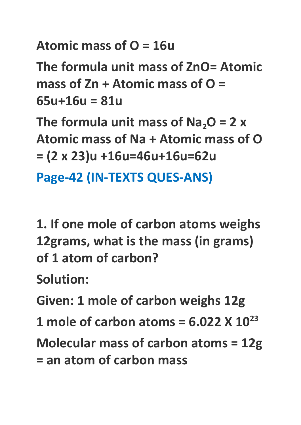**Atomic mass of O = 16u**

**The formula unit mass of ZnO= Atomic mass of Zn + Atomic mass of O = 65u+16u = 81u**

 **The formula unit mass of Na<sub>2</sub>O = 2 x Atomic mass of Na + Atomic mass of O = (2 x 23)u +16u=46u+16u=62u**

**Page-42 (IN-TEXTS QUES-ANS)**

**1. If one mole of carbon atoms weighs 12grams, what is the mass (in grams) of 1 atom of carbon?**

**Solution:**

**Given: 1 mole of carbon weighs 12g**

**1 mole of carbon atoms = 6.022 X 10 23**

**Molecular mass of carbon atoms = 12g = an atom of carbon mass**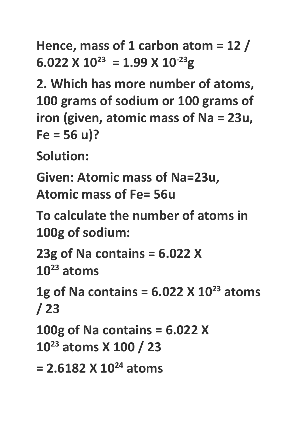**Hence, mass of 1 carbon atom = 12 /**  $6.022 \times 10^{23} = 1.99 \times 10^{-23}$ g

**2. Which has more number of atoms, 100 grams of sodium or 100 grams of iron (given, atomic mass of Na = 23u, Fe = 56 u)?**

**Solution:**

**Given: Atomic mass of Na=23u, Atomic mass of Fe= 56u**

**To calculate the number of atoms in 100g of sodium:**

**23g of Na contains = 6.022 X 10 <sup>23</sup> atoms**

**1g of Na contains = 6.022 X 10 <sup>23</sup> atoms / 23**

**100g of Na contains = 6.022 X 10 <sup>23</sup> atoms X 100 / 23**

```
= 2.6182 X 10
24 atoms
```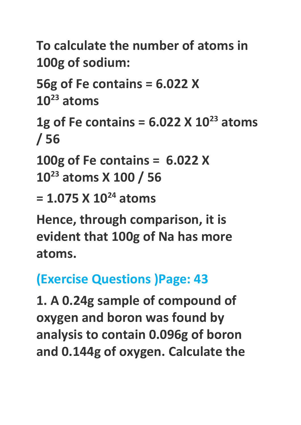**To calculate the number of atoms in 100g of sodium:**

**56g of Fe contains = 6.022 X 10 <sup>23</sup> atoms**

**1g of Fe contains = 6.022 X 10 <sup>23</sup> atoms / 56**

**100g of Fe contains = 6.022 X 10 <sup>23</sup> atoms X 100 / 56**

**= 1.075 X 10 <sup>24</sup> atoms**

**Hence, through comparison, it is evident that 100g of Na has more atoms.**

# **(Exercise Questions )Page: 43**

**1. A 0.24g sample of compound of oxygen and boron was found by analysis to contain 0.096g of boron and 0.144g of oxygen. Calculate the**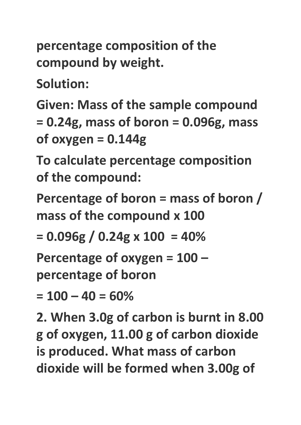**percentage composition of the compound by weight.**

**Solution:**

**Given: Mass of the sample compound = 0.24g, mass of boron = 0.096g, mass of oxygen = 0.144g**

**To calculate percentage composition of the compound:**

**Percentage of boron = mass of boron / mass of the compound x 100**

**= 0.096g / 0.24g x 100 = 40%**

**Percentage of oxygen = 100 –**

**percentage of boron**

**= 100 – 40 = 60%**

**2. When 3.0g of carbon is burnt in 8.00 g of oxygen, 11.00 g of carbon dioxide is produced. What mass of carbon dioxide will be formed when 3.00g of**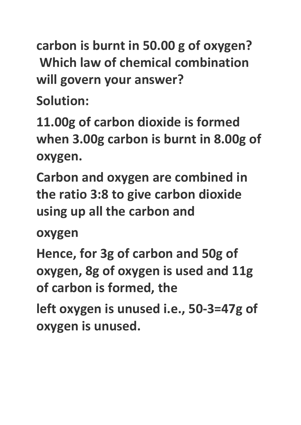**carbon is burnt in 50.00 g of oxygen? Which law of chemical combination will govern your answer?**

**Solution:**

**11.00g of carbon dioxide is formed when 3.00g carbon is burnt in 8.00g of oxygen.**

**Carbon and oxygen are combined in the ratio 3:8 to give carbon dioxide using up all the carbon and**

**oxygen**

**Hence, for 3g of carbon and 50g of oxygen, 8g of oxygen is used and 11g of carbon is formed, the**

**left oxygen is unused i.e., 50-3=47g of oxygen is unused.**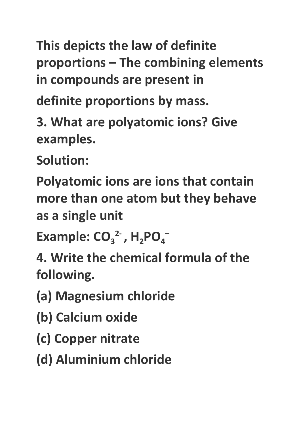**This depicts the law of definite proportions – The combining elements in compounds are present in**

**definite proportions by mass.**

**3. What are polyatomic ions? Give examples.**

**Solution:**

**Polyatomic ions are ions that contain more than one atom but they behave as a single unit**

**Example:**  $CO_3^2$ ,  $H_2PO_4^-$ 

**4. Write the chemical formula of the following.**

- **(a) Magnesium chloride**
- **(b) Calcium oxide**
- **(c) Copper nitrate**
- **(d) Aluminium chloride**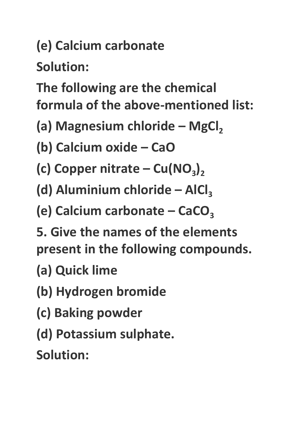# **(e) Calcium carbonate**

**Solution:**

**The following are the chemical formula of the above-mentioned list:**

**(a) Magnesium chloride – MgCl<sup>2</sup>**

**(b) Calcium oxide – CaO**

- $\left( c \right)$  Copper nitrate  $Cu(NO<sub>3</sub>)<sub>2</sub>$
- **(d) Aluminium chloride – AlCl<sup>3</sup>**

**(e)** Calcium carbonate – CaCO<sub>3</sub>

**5. Give the names of the elements present in the following compounds.**

**(a) Quick lime**

- **(b) Hydrogen bromide**
- **(c) Baking powder**
- **(d) Potassium sulphate.**

**Solution:**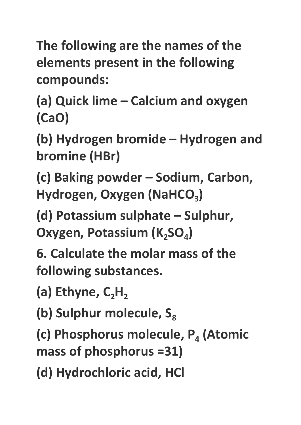**The following are the names of the elements present in the following compounds:**

**(a) Quick lime – Calcium and oxygen (CaO)**

**(b) Hydrogen bromide – Hydrogen and bromine (HBr)**

**(c) Baking powder – Sodium, Carbon, Hydrogen, Oxygen (NaHCO<sup>3</sup> )**

**(d) Potassium sulphate – Sulphur, Oxygen, Potassium (K2SO<sup>4</sup> )**

**6. Calculate the molar mass of the following substances.**

**(a) Ethyne, C2H<sup>2</sup>**

**(b)** Sulphur molecule, S<sub>8</sub>

**(c) Phosphorus molecule, P<sup>4</sup> (Atomic mass of phosphorus =31)**

**(d) Hydrochloric acid, HCl**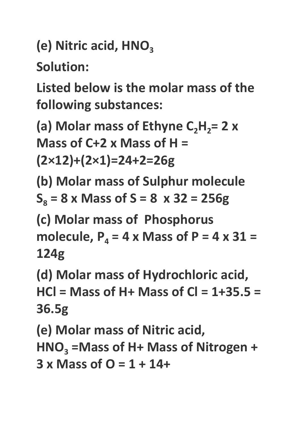**(e)** Nitric acid, HNO<sub>3</sub>

**Solution:**

**Listed below is the molar mass of the following substances:**

**(a) Molar mass of Ethyne**  $C_2H_2 = 2$  **<b>x Mass of C+2 x Mass of H = (2×12)+(2×1)=24+2=26g**

**(b) Molar mass of Sulphur molecule**  $S_8 = 8$  **x** Mass of  $S = 8$  **x** 32 = 256g

**(c) Molar mass of Phosphorus molecule,**  $P_4 = 4 \times \text{Mass of } P = 4 \times 31 =$ **124g**

**(d) Molar mass of Hydrochloric acid, HCl = Mass of H+ Mass of Cl = 1+35.5 = 36.5g**

**(e) Molar mass of Nitric acid, HNO<sup>3</sup> =Mass of H+ Mass of Nitrogen + 3 x Mass of O = 1 + 14+**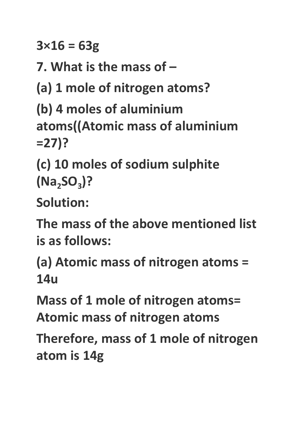**3×16 = 63g**

**7. What is the mass of –**

**(a) 1 mole of nitrogen atoms?**

**(b) 4 moles of aluminium atoms((Atomic mass of aluminium =27)?**

**(c) 10 moles of sodium sulphite (Na2SO<sup>3</sup> )?**

**Solution:**

**The mass of the above mentioned list is as follows:**

**(a) Atomic mass of nitrogen atoms = 14u**

**Mass of 1 mole of nitrogen atoms= Atomic mass of nitrogen atoms**

**Therefore, mass of 1 mole of nitrogen atom is 14g**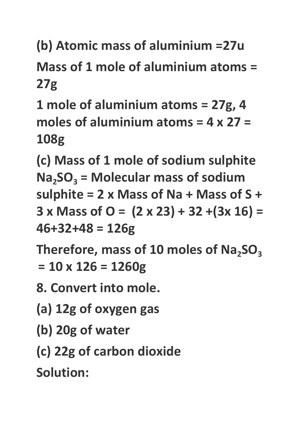**(b) Atomic mass of aluminium =27u**

**Mass of 1 mole of aluminium atoms = 27g**

**1 mole of aluminium atoms = 27g, 4 moles of aluminium atoms = 4 x 27 = 108g**

**(c) Mass of 1 mole of sodium sulphite Na2SO<sup>3</sup> = Molecular mass of sodium sulphite = 2 x Mass of Na + Mass of S + 3 x Mass of O = (2 x 23) + 32 +(3x 16) = 46+32+48 = 126g**

**Therefore, mass of 10 moles of Na2SO<sup>3</sup> = 10 x 126 = 1260g**

**8. Convert into mole.**

**(a) 12g of oxygen gas**

**(b) 20g of water**

**(c) 22g of carbon dioxide**

**Solution:**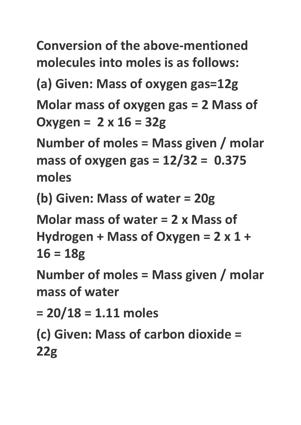**Conversion of the above-mentioned molecules into moles is as follows:**

**(a) Given: Mass of oxygen gas=12g**

**Molar mass of oxygen gas = 2 Mass of Oxygen = 2 x 16 = 32g**

**Number of moles = Mass given / molar mass of oxygen gas = 12/32 = 0.375 moles**

**(b) Given: Mass of water = 20g**

**Molar mass of water = 2 x Mass of Hydrogen + Mass of Oxygen = 2 x 1 + 16 = 18g**

**Number of moles = Mass given / molar mass of water**

**= 20/18 = 1.11 moles**

**(c) Given: Mass of carbon dioxide = 22g**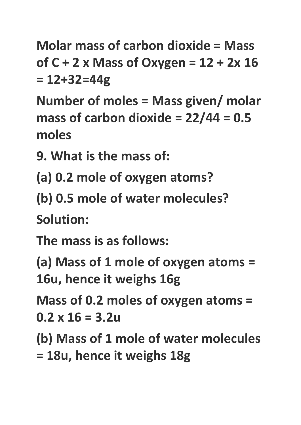**Molar mass of carbon dioxide = Mass of C + 2 x Mass of Oxygen = 12 + 2x 16 = 12+32=44g**

**Number of moles = Mass given/ molar mass of carbon dioxide = 22/44 = 0.5 moles**

**9. What is the mass of:**

**(a) 0.2 mole of oxygen atoms?**

**(b) 0.5 mole of water molecules?**

**Solution:**

**The mass is as follows:**

**(a) Mass of 1 mole of oxygen atoms = 16u, hence it weighs 16g**

**Mass of 0.2 moles of oxygen atoms = 0.2 x 16 = 3.2u**

**(b) Mass of 1 mole of water molecules = 18u, hence it weighs 18g**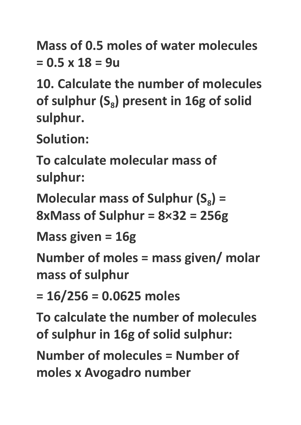**Mass of 0.5 moles of water molecules = 0.5 x 18 = 9u**

**10. Calculate the number of molecules of sulphur (S<sup>8</sup> ) present in 16g of solid sulphur.**

**Solution:**

**To calculate molecular mass of sulphur:**

**Molecular mass of Sulphur**  $(S_8)$  **= 8xMass of Sulphur = 8×32 = 256g**

**Mass given = 16g**

**Number of moles = mass given/ molar mass of sulphur**

**= 16/256 = 0.0625 moles**

**To calculate the number of molecules of sulphur in 16g of solid sulphur:**

**Number of molecules = Number of moles x Avogadro number**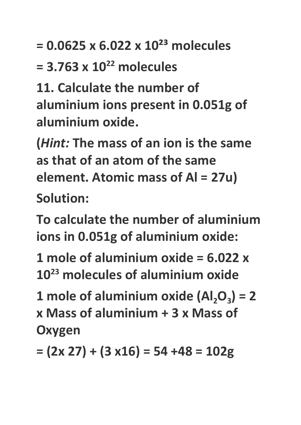**= 0.0625 x 6.022 x 10²³ molecules**

**= 3.763 x 10 <sup>22</sup> molecules**

**11. Calculate the number of aluminium ions present in 0.051g of aluminium oxide.**

**(***Hint:* **The mass of an ion is the same as that of an atom of the same element. Atomic mass of Al = 27u) Solution:**

**To calculate the number of aluminium ions in 0.051g of aluminium oxide:**

**1 mole of aluminium oxide = 6.022 x 10 <sup>23</sup> molecules of aluminium oxide**

**1** mole of aluminium oxide  $(AI_2O_3) = 2$ **x Mass of aluminium + 3 x Mass of Oxygen**

**= (2x 27) + (3 x16) = 54 +48 = 102g**